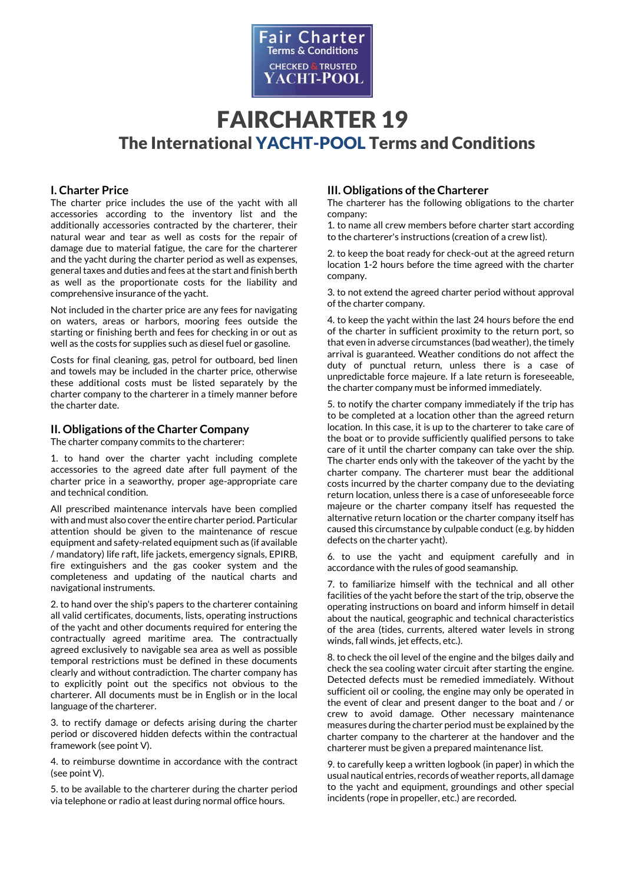

## **I. Charter Price**

The charter price includes the use of the yacht with all accessories according to the inventory list and the additionally accessories contracted by the charterer, their natural wear and tear as well as costs for the repair of damage due to material fatigue, the care for the charterer and the yacht during the charter period as well as expenses, general taxes and duties and fees at the start and finish berth as well as the proportionate costs for the liability and comprehensive insurance of the yacht.

Not included in the charter price are any fees for navigating on waters, areas or harbors, mooring fees outside the starting or finishing berth and fees for checking in or out as well as the costs for supplies such as diesel fuel or gasoline.

Costs for final cleaning, gas, petrol for outboard, bed linen and towels may be included in the charter price, otherwise these additional costs must be listed separately by the charter company to the charterer in a timely manner before the charter date.

## **II. Obligations of the Charter Company**

The charter company commits to the charterer:

1. to hand over the charter yacht including complete accessories to the agreed date after full payment of the charter price in a seaworthy, proper age-appropriate care and technical condition.

All prescribed maintenance intervals have been complied with and must also cover the entire charter period. Particular attention should be given to the maintenance of rescue equipment and safety-related equipment such as (if available / mandatory) life raft, life jackets, emergency signals, EPIRB, fire extinguishers and the gas cooker system and the completeness and updating of the nautical charts and navigational instruments.

2. to hand over the ship's papers to the charterer containing all valid certificates, documents, lists, operating instructions of the yacht and other documents required for entering the contractually agreed maritime area. The contractually agreed exclusively to navigable sea area as well as possible temporal restrictions must be defined in these documents clearly and without contradiction. The charter company has to explicitly point out the specifics not obvious to the charterer. All documents must be in English or in the local language of the charterer.

3. to rectify damage or defects arising during the charter period or discovered hidden defects within the contractual framework (see point V).

4. to reimburse downtime in accordance with the contract (see point V).

5. to be available to the charterer during the charter period via telephone or radio at least during normal office hours.

## **III. Obligations of the Charterer**

The charterer has the following obligations to the charter company:

1. to name all crew members before charter start according to the charterer's instructions (creation of a crew list).

2. to keep the boat ready for check-out at the agreed return location 1-2 hours before the time agreed with the charter company.

3. to not extend the agreed charter period without approval of the charter company.

4. to keep the yacht within the last 24 hours before the end of the charter in sufficient proximity to the return port, so that even in adverse circumstances (bad weather), the timely arrival is guaranteed. Weather conditions do not affect the duty of punctual return, unless there is a case of unpredictable force majeure. If a late return is foreseeable, the charter company must be informed immediately.

5. to notify the charter company immediately if the trip has to be completed at a location other than the agreed return location. In this case, it is up to the charterer to take care of the boat or to provide sufficiently qualified persons to take care of it until the charter company can take over the ship. The charter ends only with the takeover of the yacht by the charter company. The charterer must bear the additional costs incurred by the charter company due to the deviating return location, unless there is a case of unforeseeable force majeure or the charter company itself has requested the alternative return location or the charter company itself has caused this circumstance by culpable conduct (e.g. by hidden defects on the charter yacht).

6. to use the yacht and equipment carefully and in accordance with the rules of good seamanship.

7. to familiarize himself with the technical and all other facilities of the yacht before the start of the trip, observe the operating instructions on board and inform himself in detail about the nautical, geographic and technical characteristics of the area (tides, currents, altered water levels in strong winds, fall winds, jet effects, etc.).

8. to check the oil level of the engine and the bilges daily and check the sea cooling water circuit after starting the engine. Detected defects must be remedied immediately. Without sufficient oil or cooling, the engine may only be operated in the event of clear and present danger to the boat and / or crew to avoid damage. Other necessary maintenance measures during the charter period must be explained by the charter company to the charterer at the handover and the charterer must be given a prepared maintenance list.

9. to carefully keep a written logbook (in paper) in which the usual nautical entries, records of weather reports, all damage to the yacht and equipment, groundings and other special incidents (rope in propeller, etc.) are recorded.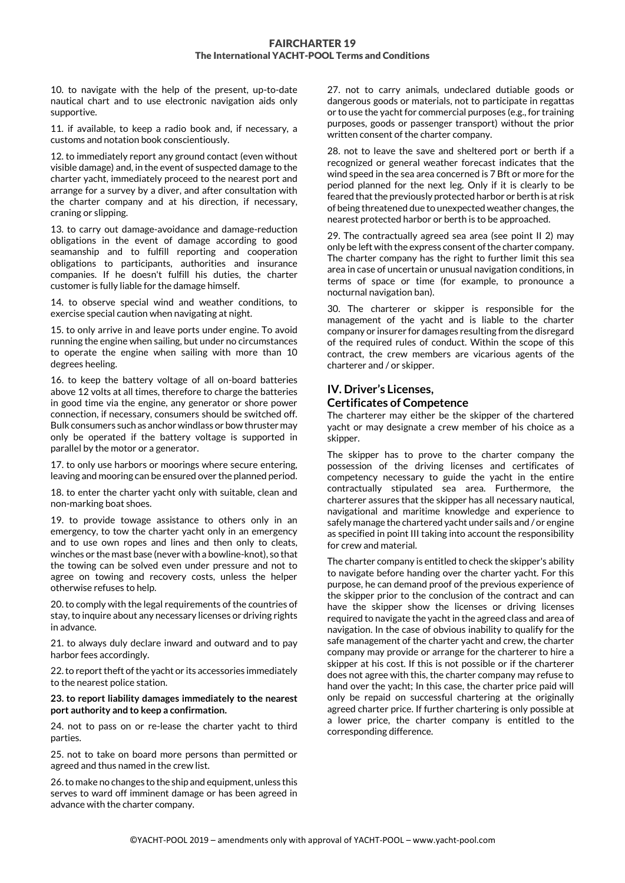10. to navigate with the help of the present, up-to-date nautical chart and to use electronic navigation aids only supportive.

11. if available, to keep a radio book and, if necessary, a customs and notation book conscientiously.

12. to immediately report any ground contact (even without visible damage) and, in the event of suspected damage to the charter yacht, immediately proceed to the nearest port and arrange for a survey by a diver, and after consultation with the charter company and at his direction, if necessary, craning or slipping.

13. to carry out damage-avoidance and damage-reduction obligations in the event of damage according to good seamanship and to fulfill reporting and cooperation obligations to participants, authorities and insurance companies. If he doesn't fulfill his duties, the charter customer is fully liable for the damage himself.

14. to observe special wind and weather conditions, to exercise special caution when navigating at night.

15. to only arrive in and leave ports under engine. To avoid running the engine when sailing, but under no circumstances to operate the engine when sailing with more than 10 degrees heeling.

16. to keep the battery voltage of all on-board batteries above 12 volts at all times, therefore to charge the batteries in good time via the engine, any generator or shore power connection, if necessary, consumers should be switched off. Bulk consumers such as anchor windlass or bow thruster may only be operated if the battery voltage is supported in parallel by the motor or a generator.

17. to only use harbors or moorings where secure entering, leaving and mooring can be ensured over the planned period.

18. to enter the charter yacht only with suitable, clean and non-marking boat shoes.

19. to provide towage assistance to others only in an emergency, to tow the charter yacht only in an emergency and to use own ropes and lines and then only to cleats, winches or the mast base (never with a bowline-knot), so that the towing can be solved even under pressure and not to agree on towing and recovery costs, unless the helper otherwise refuses to help.

20. to comply with the legal requirements of the countries of stay, to inquire about any necessary licenses or driving rights in advance.

21. to always duly declare inward and outward and to pay harbor fees accordingly.

22. to report theft of the yacht or its accessories immediately to the nearest police station.

#### **23. to report liability damages immediately to the nearest port authority and to keep a confirmation.**

24. not to pass on or re-lease the charter yacht to third parties.

25. not to take on board more persons than permitted or agreed and thus named in the crew list.

26. to make no changes to the ship and equipment, unless this serves to ward off imminent damage or has been agreed in advance with the charter company.

27. not to carry animals, undeclared dutiable goods or dangerous goods or materials, not to participate in regattas or to use the yacht for commercial purposes (e.g., for training purposes, goods or passenger transport) without the prior written consent of the charter company.

28. not to leave the save and sheltered port or berth if a recognized or general weather forecast indicates that the wind speed in the sea area concerned is 7 Bft or more for the period planned for the next leg. Only if it is clearly to be feared that the previously protected harbor or berth is at risk of being threatened due to unexpected weather changes, the nearest protected harbor or berth is to be approached.

29. The contractually agreed sea area (see point II 2) may only be left with the express consent of the charter company. The charter company has the right to further limit this sea area in case of uncertain or unusual navigation conditions, in terms of space or time (for example, to pronounce a nocturnal navigation ban).

30. The charterer or skipper is responsible for the management of the yacht and is liable to the charter company or insurer for damages resulting from the disregard of the required rules of conduct. Within the scope of this contract, the crew members are vicarious agents of the charterer and / or skipper.

## **IV. Driver's Licenses, Certificates of Competence**

The charterer may either be the skipper of the chartered yacht or may designate a crew member of his choice as a skipper.

The skipper has to prove to the charter company the possession of the driving licenses and certificates of competency necessary to guide the yacht in the entire contractually stipulated sea area. Furthermore, the charterer assures that the skipper has all necessary nautical, navigational and maritime knowledge and experience to safely manage the chartered yacht under sails and / or engine as specified in point III taking into account the responsibility for crew and material.

The charter company is entitled to check the skipper's ability to navigate before handing over the charter yacht. For this purpose, he can demand proof of the previous experience of the skipper prior to the conclusion of the contract and can have the skipper show the licenses or driving licenses required to navigate the yacht in the agreed class and area of navigation. In the case of obvious inability to qualify for the safe management of the charter yacht and crew, the charter company may provide or arrange for the charterer to hire a skipper at his cost. If this is not possible or if the charterer does not agree with this, the charter company may refuse to hand over the yacht; In this case, the charter price paid will only be repaid on successful chartering at the originally agreed charter price. If further chartering is only possible at a lower price, the charter company is entitled to the corresponding difference.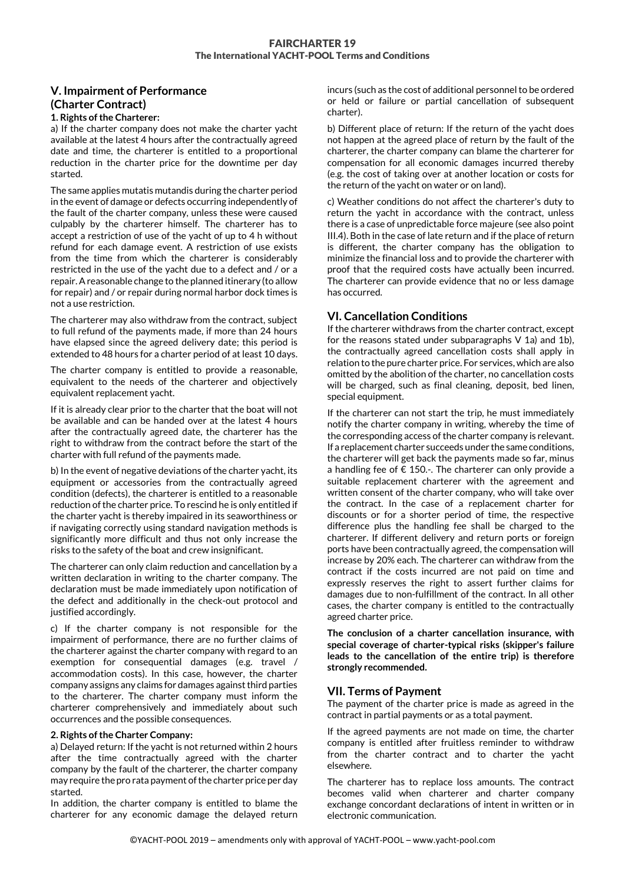# **V. Impairment of Performance (Charter Contract)**

#### **1. Rights of the Charterer:**

a) If the charter company does not make the charter yacht available at the latest 4 hours after the contractually agreed date and time, the charterer is entitled to a proportional reduction in the charter price for the downtime per day started.

The same applies mutatis mutandis during the charter period in the event of damage or defects occurring independently of the fault of the charter company, unless these were caused culpably by the charterer himself. The charterer has to accept a restriction of use of the yacht of up to 4 h without refund for each damage event. A restriction of use exists from the time from which the charterer is considerably restricted in the use of the yacht due to a defect and / or a repair. A reasonable change to the planned itinerary (to allow for repair) and / or repair during normal harbor dock times is not a use restriction.

The charterer may also withdraw from the contract, subject to full refund of the payments made, if more than 24 hours have elapsed since the agreed delivery date; this period is extended to 48 hours for a charter period of at least 10 days.

The charter company is entitled to provide a reasonable, equivalent to the needs of the charterer and objectively equivalent replacement yacht.

If it is already clear prior to the charter that the boat will not be available and can be handed over at the latest 4 hours after the contractually agreed date, the charterer has the right to withdraw from the contract before the start of the charter with full refund of the payments made.

b) In the event of negative deviations of the charter yacht, its equipment or accessories from the contractually agreed condition (defects), the charterer is entitled to a reasonable reduction of the charter price. To rescind he is only entitled if the charter yacht is thereby impaired in its seaworthiness or if navigating correctly using standard navigation methods is significantly more difficult and thus not only increase the risks to the safety of the boat and crew insignificant.

The charterer can only claim reduction and cancellation by a written declaration in writing to the charter company. The declaration must be made immediately upon notification of the defect and additionally in the check-out protocol and justified accordingly.

c) If the charter company is not responsible for the impairment of performance, there are no further claims of the charterer against the charter company with regard to an exemption for consequential damages (e.g. travel / accommodation costs). In this case, however, the charter company assigns any claims for damages against third parties to the charterer. The charter company must inform the charterer comprehensively and immediately about such occurrences and the possible consequences.

#### **2. Rights of the Charter Company:**

a) Delayed return: If the yacht is not returned within 2 hours after the time contractually agreed with the charter company by the fault of the charterer, the charter company may require the pro rata payment of the charter price per day started.

In addition, the charter company is entitled to blame the charterer for any economic damage the delayed return incurs (such as the cost of additional personnel to be ordered or held or failure or partial cancellation of subsequent charter).

b) Different place of return: If the return of the yacht does not happen at the agreed place of return by the fault of the charterer, the charter company can blame the charterer for compensation for all economic damages incurred thereby (e.g. the cost of taking over at another location or costs for the return of the yacht on water or on land).

c) Weather conditions do not affect the charterer's duty to return the yacht in accordance with the contract, unless there is a case of unpredictable force majeure (see also point III.4). Both in the case of late return and if the place of return is different, the charter company has the obligation to minimize the financial loss and to provide the charterer with proof that the required costs have actually been incurred. The charterer can provide evidence that no or less damage has occurred.

## **VI. Cancellation Conditions**

If the charterer withdraws from the charter contract, except for the reasons stated under subparagraphs V 1a) and 1b), the contractually agreed cancellation costs shall apply in relation to the pure charter price. For services, which are also omitted by the abolition of the charter, no cancellation costs will be charged, such as final cleaning, deposit, bed linen, special equipment.

If the charterer can not start the trip, he must immediately notify the charter company in writing, whereby the time of the corresponding access of the charter company is relevant. If a replacement charter succeeds under the same conditions, the charterer will get back the payments made so far, minus a handling fee of  $\epsilon$  150.-. The charterer can only provide a suitable replacement charterer with the agreement and written consent of the charter company, who will take over the contract. In the case of a replacement charter for discounts or for a shorter period of time, the respective difference plus the handling fee shall be charged to the charterer. If different delivery and return ports or foreign ports have been contractually agreed, the compensation will increase by 20% each. The charterer can withdraw from the contract if the costs incurred are not paid on time and expressly reserves the right to assert further claims for damages due to non-fulfillment of the contract. In all other cases, the charter company is entitled to the contractually agreed charter price.

**The conclusion of a charter cancellation insurance, with special coverage of charter-typical risks (skipper's failure leads to the cancellation of the entire trip) is therefore strongly recommended.**

## **VII. Terms of Payment**

The payment of the charter price is made as agreed in the contract in partial payments or as a total payment.

If the agreed payments are not made on time, the charter company is entitled after fruitless reminder to withdraw from the charter contract and to charter the yacht elsewhere.

The charterer has to replace loss amounts. The contract becomes valid when charterer and charter company exchange concordant declarations of intent in written or in electronic communication.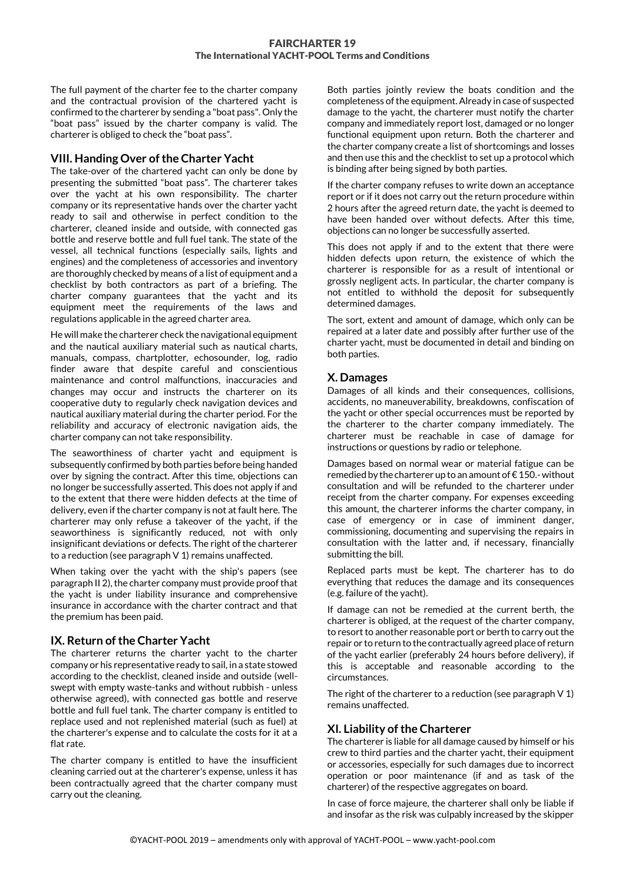The full payment of the charter fee to the charter company and the contractual provision of the chartered yacht is confirmed to the charterer by sending a "boat pass". Only the "boat pass" issued by the charter company is valid. The charterer is obliged to check the "boat pass".

## **VIII. Handing Over of the Charter Yacht**

The take-over of the chartered yacht can only be done by presenting the submitted "boat pass". The charterer takes over the yacht at his own responsibility. The charter company or its representative hands over the charter yacht ready to sail and otherwise in perfect condition to the charterer, cleaned inside and outside, with connected gas bottle and reserve bottle and full fuel tank. The state of the vessel, all technical functions (especially sails, lights and engines) and the completeness of accessories and inventory are thoroughly checked by means of a list of equipment and a checklist by both contractors as part of a briefing. The charter company guarantees that the yacht and its equipment meet the requirements of the laws and regulations applicable in the agreed charter area.

He will make the charterer check the navigational equipment and the nautical auxiliary material such as nautical charts, manuals, compass, chartplotter, echosounder, log, radio finder aware that despite careful and conscientious maintenance and control malfunctions, inaccuracies and changes may occur and instructs the charterer on its cooperative duty to regularly check navigation devices and nautical auxiliary material during the charter period. For the reliability and accuracy of electronic navigation aids, the charter company can not take responsibility.

The seaworthiness of charter yacht and equipment is subsequently confirmed by both parties before being handed over by signing the contract. After this time, objections can no longer be successfully asserted. This does not apply if and to the extent that there were hidden defects at the time of delivery, even if the charter company is not at fault here. The charterer may only refuse a takeover of the yacht, if the seaworthiness is significantly reduced, not with only insignificant deviations or defects. The right of the charterer to a reduction (see paragraph V 1) remains unaffected.

When taking over the yacht with the ship's papers (see paragraph II 2), the charter company must provide proof that the yacht is under liability insurance and comprehensive insurance in accordance with the charter contract and that the premium has been paid.

## **IX. Return of the Charter Yacht**

The charterer returns the charter yacht to the charter company or his representative ready to sail, in a state stowed according to the checklist, cleaned inside and outside (wellswept with empty waste-tanks and without rubbish - unless otherwise agreed), with connected gas bottle and reserve bottle and full fuel tank. The charter company is entitled to replace used and not replenished material (such as fuel) at the charterer's expense and to calculate the costs for it at a flat rate.

The charter company is entitled to have the insufficient cleaning carried out at the charterer's expense, unless it has been contractually agreed that the charter company must carry out the cleaning.

Both parties jointly review the boats condition and the completeness of the equipment. Already in case of suspected damage to the yacht, the charterer must notify the charter company and immediately report lost, damaged or no longer functional equipment upon return. Both the charterer and the charter company create a list of shortcomings and losses and then use this and the checklist to set up a protocol which is binding after being signed by both parties.

If the charter company refuses to write down an acceptance report or if it does not carry out the return procedure within 2 hours after the agreed return date, the yacht is deemed to have been handed over without defects. After this time, objections can no longer be successfully asserted.

This does not apply if and to the extent that there were hidden defects upon return, the existence of which the charterer is responsible for as a result of intentional or grossly negligent acts. In particular, the charter company is not entitled to withhold the deposit for subsequently determined damages.

The sort, extent and amount of damage, which only can be repaired at a later date and possibly after further use of the charter yacht, must be documented in detail and binding on both parties.

## **X. Damages**

Damages of all kinds and their consequences, collisions, accidents, no maneuverability, breakdowns, confiscation of the yacht or other special occurrences must be reported by the charterer to the charter company immediately. The charterer must be reachable in case of damage for instructions or questions by radio or telephone.

Damages based on normal wear or material fatigue can be remedied by the charterer up to an amount of  $\epsilon$  150.-without consultation and will be refunded to the charterer under receipt from the charter company. For expenses exceeding this amount, the charterer informs the charter company, in case of emergency or in case of imminent danger, commissioning, documenting and supervising the repairs in consultation with the latter and, if necessary, financially submitting the bill.

Replaced parts must be kept. The charterer has to do everything that reduces the damage and its consequences (e.g. failure of the yacht).

If damage can not be remedied at the current berth, the charterer is obliged, at the request of the charter company, to resort to another reasonable port or berth to carry out the repair or to return to the contractually agreed place of return of the yacht earlier (preferably 24 hours before delivery), if this is acceptable and reasonable according to the circumstances.

The right of the charterer to a reduction (see paragraph V 1) remains unaffected.

## **XI. Liability of the Charterer**

The charterer is liable for all damage caused by himself or his crew to third parties and the charter yacht, their equipment or accessories, especially for such damages due to incorrect operation or poor maintenance (if and as task of the charterer) of the respective aggregates on board.

In case of force majeure, the charterer shall only be liable if and insofar as the risk was culpably increased by the skipper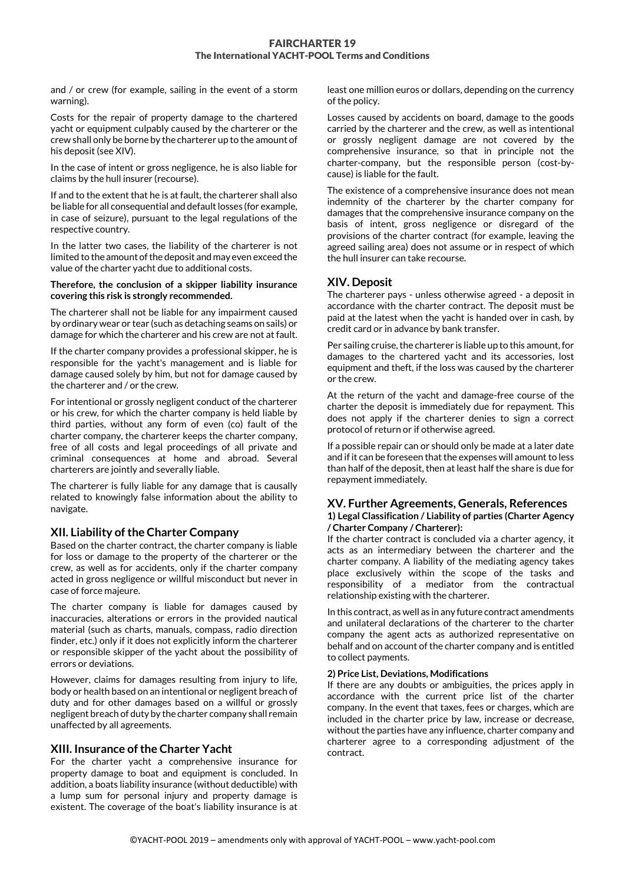and / or crew (for example, sailing in the event of a storm warning).

Costs for the repair of property damage to the chartered yacht or equipment culpably caused by the charterer or the crew shall only be borne by the charterer up to the amount of his deposit (see XIV).

In the case of intent or gross negligence, he is also liable for claims by the hull insurer (recourse).

If and to the extent that he is at fault, the charterer shall also be liable for all consequential and default losses (for example, in case of seizure), pursuant to the legal regulations of the respective country.

In the latter two cases, the liability of the charterer is not limited to the amount of the deposit and may even exceed the value of the charter yacht due to additional costs.

**Therefore, the conclusion of a skipper liability insurance covering this risk is strongly recommended.**

The charterer shall not be liable for any impairment caused by ordinary wear or tear (such as detaching seams on sails) or damage for which the charterer and his crew are not at fault.

If the charter company provides a professional skipper, he is responsible for the yacht's management and is liable for damage caused solely by him, but not for damage caused by the charterer and / or the crew.

For intentional or grossly negligent conduct of the charterer or his crew, for which the charter company is held liable by third parties, without any form of even (co) fault of the charter company, the charterer keeps the charter company, free of all costs and legal proceedings of all private and criminal consequences at home and abroad. Several charterers are jointly and severally liable.

The charterer is fully liable for any damage that is causally related to knowingly false information about the ability to navigate.

#### **XII. Liability of the Charter Company**

Based on the charter contract, the charter company is liable for loss or damage to the property of the charterer or the crew, as well as for accidents, only if the charter company acted in gross negligence or willful misconduct but never in case of force majeure.

The charter company is liable for damages caused by inaccuracies, alterations or errors in the provided nautical material (such as charts, manuals, compass, radio direction finder, etc.) only if it does not explicitly inform the charterer or responsible skipper of the yacht about the possibility of errors or deviations.

However, claims for damages resulting from injury to life, body or health based on an intentional or negligent breach of duty and for other damages based on a willful or grossly negligent breach of duty by the charter company shall remain unaffected by all agreements.

#### **XIII. Insurance ofthe Charter Yacht**

For the charter yacht a comprehensive insurance for property damage to boat and equipment is concluded. In addition, a boats liability insurance (without deductible) with a lump sum for personal injury and property damage is existent. The coverage of the boat's liability insurance is at least one million euros or dollars, depending on the currency of the policy.

Losses caused by accidents on board, damage to the goods carried by the charterer and the crew, as well as intentional or grossly negligent damage are not covered by the comprehensive insurance, so that in principle not the charter-company, but the responsible person (cost-bycause) is liable for the fault.

The existence of a comprehensive insurance does not mean indemnity of the charterer by the charter company for damages that the comprehensive insurance company on the basis of intent, gross negligence or disregard of the provisions of the charter contract (for example, leaving the agreed sailing area) does not assume or in respect of which the hull insurer can take recourse.

## **XIV. Deposit**

The charterer pays - unless otherwise agreed - a deposit in accordance with the charter contract. The deposit must be paid at the latest when the yacht is handed over in cash, by credit card or in advance by bank transfer.

Per sailing cruise, the charterer is liable up to this amount, for damages to the chartered yacht and its accessories, lost equipment and theft, if the loss was caused by the charterer or the crew.

At the return of the yacht and damage-free course of the charter the deposit is immediately due for repayment. This does not apply if the charterer denies to sign a correct protocol of return or if otherwise agreed.

If a possible repair can or should only be made at a later date and if it can be foreseen that the expenses will amount to less than half of the deposit, then at least half the share is due for repayment immediately.

#### **XV. Further Agreements, Generals, References 1) Legal Classification / Liability of parties (Charter Agency / Charter Company / Charterer):**

If the charter contract is concluded via a charter agency, it acts as an intermediary between the charterer and the charter company. A liability of the mediating agency takes place exclusively within the scope of the tasks and responsibility of a mediator from the contractual relationship existing with the charterer.

In this contract, as well as in any future contract amendments and unilateral declarations of the charterer to the charter company the agent acts as authorized representative on behalf and on account of the charter company and is entitled to collect payments.

#### **2) Price List, Deviations, Modifications**

If there are any doubts or ambiguities, the prices apply in accordance with the current price list of the charter company. In the event that taxes, fees or charges, which are included in the charter price by law, increase or decrease, without the parties have any influence, charter company and charterer agree to a corresponding adjustment of the contract.